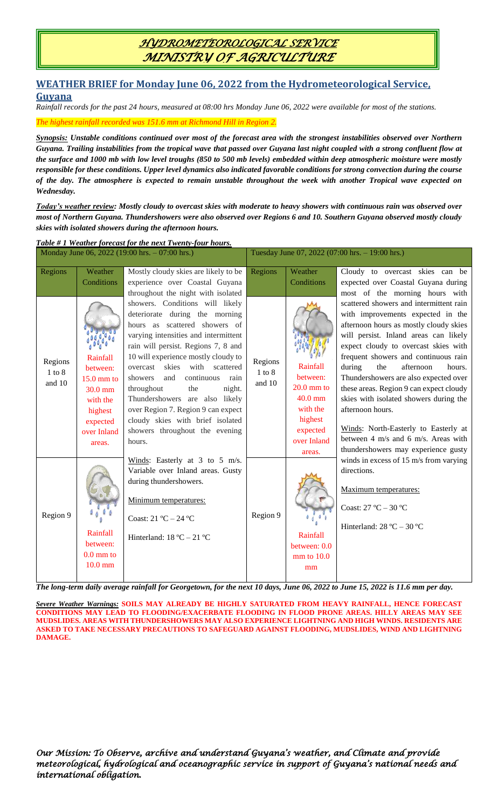### *HYDROMETEOROLOGICAL SERVICE MINISTRY OF AGRICULTURE*

#### **WEATHER BRIEF for Monday June 06, 2022 from the Hydrometeorological Service, Guyana**

*Rainfall records for the past 24 hours, measured at 08:00 hrs Monday June 06, 2022 were available for most of the stations.*

*The highest rainfall recorded was 151.6 mm at Richmond Hill in Region 2.*

*Synopsis: Unstable conditions continued over most of the forecast area with the strongest instabilities observed over Northern Guyana. Trailing instabilities from the tropical wave that passed over Guyana last night coupled with a strong confluent flow at the surface and 1000 mb with low level troughs (850 to 500 mb levels) embedded within deep atmospheric moisture were mostly responsible for these conditions. Upper level dynamics also indicated favorable conditions for strong convection during the course of the day. The atmosphere is expected to remain unstable throughout the week with another Tropical wave expected on Wednesday.* 

*Today's weather review: Mostly cloudy to overcast skies with moderate to heavy showers with continuous rain was observed over most of Northern Guyana. Thundershowers were also observed over Regions 6 and 10. Southern Guyana observed mostly cloudy skies with isolated showers during the afternoon hours.*

| Table #1 Weather forecast for the next Twenty-four hours. |                                                                                                               |                                                                                                                                                                                                                                                                                                                                                                                                                                                                                                |                                                 |                                                                                                               |                                                                                                                                                                                                                                                                                                                                                                                                                                                                                                                                                                                                                                                                                                            |  |  |  |
|-----------------------------------------------------------|---------------------------------------------------------------------------------------------------------------|------------------------------------------------------------------------------------------------------------------------------------------------------------------------------------------------------------------------------------------------------------------------------------------------------------------------------------------------------------------------------------------------------------------------------------------------------------------------------------------------|-------------------------------------------------|---------------------------------------------------------------------------------------------------------------|------------------------------------------------------------------------------------------------------------------------------------------------------------------------------------------------------------------------------------------------------------------------------------------------------------------------------------------------------------------------------------------------------------------------------------------------------------------------------------------------------------------------------------------------------------------------------------------------------------------------------------------------------------------------------------------------------------|--|--|--|
| Monday June 06, 2022 (19:00 hrs. - 07:00 hrs.)            |                                                                                                               |                                                                                                                                                                                                                                                                                                                                                                                                                                                                                                | Tuesday June 07, 2022 (07:00 hrs. - 19:00 hrs.) |                                                                                                               |                                                                                                                                                                                                                                                                                                                                                                                                                                                                                                                                                                                                                                                                                                            |  |  |  |
| Regions                                                   | Weather<br>Conditions                                                                                         | Mostly cloudy skies are likely to be<br>experience over Coastal Guyana<br>throughout the night with isolated                                                                                                                                                                                                                                                                                                                                                                                   | Regions                                         | Weather<br>Conditions                                                                                         | Cloudy to overcast skies can be<br>expected over Coastal Guyana during<br>most of the morning hours with                                                                                                                                                                                                                                                                                                                                                                                                                                                                                                                                                                                                   |  |  |  |
| Regions<br>$1$ to $8$<br>and 10                           | Rainfall<br>between:<br>$15.0$ mm to<br>$30.0$ mm<br>with the<br>highest<br>expected<br>over Inland<br>areas. | showers. Conditions will likely<br>deteriorate during the morning<br>hours as scattered showers of<br>varying intensities and intermittent<br>rain will persist. Regions 7, 8 and<br>10 will experience mostly cloudy to<br>with scattered<br>skies<br>overcast<br>continuous<br>showers<br>and<br>rain<br>throughout<br>the<br>night.<br>Thundershowers are also likely<br>over Region 7. Region 9 can expect<br>cloudy skies with brief isolated<br>showers throughout the evening<br>hours. | Regions<br>$1$ to $8\,$<br>and 10               | Rainfall<br>between:<br>$20.0$ mm to<br>$40.0$ mm<br>with the<br>highest<br>expected<br>over Inland<br>areas. | scattered showers and intermittent rain<br>with improvements expected in the<br>afternoon hours as mostly cloudy skies<br>will persist. Inland areas can likely<br>expect cloudy to overcast skies with<br>frequent showers and continuous rain<br>during<br>the<br>afternoon<br>hours.<br>Thundershowers are also expected over<br>these areas. Region 9 can expect cloudy<br>skies with isolated showers during the<br>afternoon hours.<br>Winds: North-Easterly to Easterly at<br>between 4 m/s and 6 m/s. Areas with<br>thundershowers may experience gusty<br>winds in excess of 15 m/s from varying<br>directions.<br>Maximum temperatures:<br>Coast: $27 °C - 30 °C$<br>Hinterland: $28 °C - 30 °C$ |  |  |  |
| Region 9                                                  | Rainfall<br>between:<br>$0.0$ mm to<br>$10.0$ mm                                                              | Winds: Easterly at $3$ to $5$ m/s.<br>Variable over Inland areas. Gusty<br>during thundershowers.<br>Minimum temperatures:<br>Coast: $21 °C - 24 °C$<br>Hinterland: $18 °C - 21 °C$                                                                                                                                                                                                                                                                                                            | Region 9                                        | Rainfall<br>between: 0.0<br>$mm$ to $10.0$<br>mm                                                              |                                                                                                                                                                                                                                                                                                                                                                                                                                                                                                                                                                                                                                                                                                            |  |  |  |

*The long-term daily average rainfall for Georgetown, for the next 10 days, June 06, 2022 to June 15, 2022 is 11.6 mm per day.*

*Severe Weather Warnings:* **SOILS MAY ALREADY BE HIGHLY SATURATED FROM HEAVY RAINFALL, HENCE FORECAST CONDITIONS MAY LEAD TO FLOODING/EXACERBATE FLOODING IN FLOOD PRONE AREAS. HILLY AREAS MAY SEE MUDSLIDES. AREAS WITH THUNDERSHOWERS MAY ALSO EXPERIENCE LIGHTNING AND HIGH WINDS. RESIDENTS ARE ASKED TO TAKE NECESSARY PRECAUTIONS TO SAFEGUARD AGAINST FLOODING, MUDSLIDES, WIND AND LIGHTNING DAMAGE.**

*Our Mission: To Observe, archive and understand Guyana's weather, and Climate and provide meteorological, hydrological and oceanographic service in support of Guyana's national needs and international obligation.*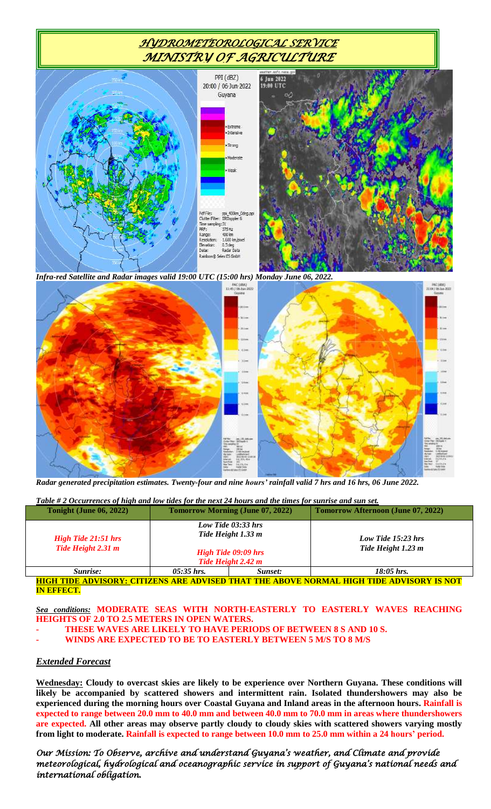# *HYDROMETEOROLOGICAL SERVICE MINISTRY OF AGRICULTURE*



*Infra-red Satellite and Radar images valid 19:00 UTC (15:00 hrs) Monday June 06, 2022.*



*Radar generated precipitation estimates. Twenty-four and nine hours' rainfall valid 7 hrs and 16 hrs, 06 June 2022.*

| Table # 2 Occurrences of high and low tides for the next 24 hours and the times for sunrise and sun set. |                                                                                                |         |                                           |  |  |  |  |
|----------------------------------------------------------------------------------------------------------|------------------------------------------------------------------------------------------------|---------|-------------------------------------------|--|--|--|--|
| Tonight (June 06, 2022)                                                                                  | <b>Tomorrow Morning (June 07, 2022)</b>                                                        |         | <b>Tomorrow Afternoon (June 07, 2022)</b> |  |  |  |  |
| <b>High Tide 21:51 hrs</b><br>Tide Height 2.31 m                                                         | Low Tide $03:33$ hrs<br>Tide Height 1.33 m<br><b>High Tide 09:09 hrs</b><br>Tide Height 2.42 m |         | Low Tide 15:23 hrs<br>Tide Height 1.23 m  |  |  |  |  |
| Sunrise:                                                                                                 | $05:35$ hrs.                                                                                   | Sunset: | $18:05$ hrs.                              |  |  |  |  |

**HIGH TIDE ADVISORY: CITIZENS ARE ADVISED THAT THE ABOVE NORMAL HIGH TIDE ADVISORY IS NOT IN EFFECT.**

*Sea conditions:* **MODERATE SEAS WITH NORTH-EASTERLY TO EASTERLY WAVES REACHING HEIGHTS OF 2.0 TO 2.5 METERS IN OPEN WATERS.** 

- **- THESE WAVES ARE LIKELY TO HAVE PERIODS OF BETWEEN 8 S AND 10 S.**
- **- WINDS ARE EXPECTED TO BE TO EASTERLY BETWEEN 5 M/S TO 8 M/S**

#### *Extended Forecast*

**Wednesday: Cloudy to overcast skies are likely to be experience over Northern Guyana. These conditions will likely be accompanied by scattered showers and intermittent rain. Isolated thundershowers may also be experienced during the morning hours over Coastal Guyana and Inland areas in the afternoon hours. Rainfall is expected to range between 20.0 mm to 40.0 mm and between 40.0 mm to 70.0 mm in areas where thundershowers are expected. All other areas may observe partly cloudy to cloudy skies with scattered showers varying mostly from light to moderate. Rainfall is expected to range between 10.0 mm to 25.0 mm within a 24 hours' period.**

*Our Mission: To Observe, archive and understand Guyana's weather, and Climate and provide meteorological, hydrological and oceanographic service in support of Guyana's national needs and international obligation.*